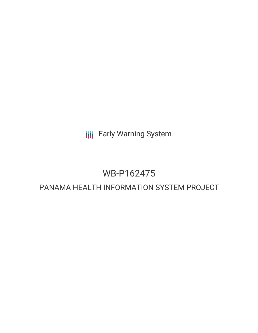**III** Early Warning System

# WB-P162475

# PANAMA HEALTH INFORMATION SYSTEM PROJECT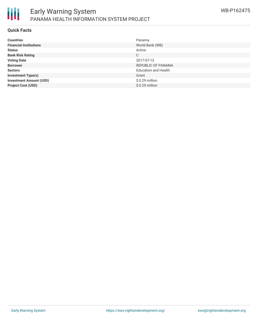

#### **Quick Facts**

| <b>Countries</b>               | Panama                      |
|--------------------------------|-----------------------------|
| <b>Financial Institutions</b>  | World Bank (WB)             |
| <b>Status</b>                  | Active                      |
| <b>Bank Risk Rating</b>        | C                           |
| <b>Voting Date</b>             | 2017-07-13                  |
| <b>Borrower</b>                | REPUBLIC OF PANAMA          |
| <b>Sectors</b>                 | <b>Education and Health</b> |
| <b>Investment Type(s)</b>      | Grant                       |
| <b>Investment Amount (USD)</b> | $$0.29$ million             |
| <b>Project Cost (USD)</b>      | $$0.29$ million             |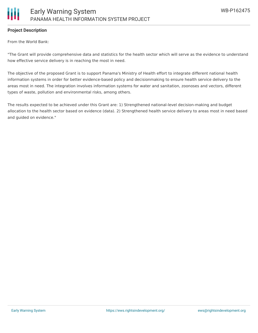

#### **Project Description**

From the World Bank:

"The Grant will provide comprehensive data and statistics for the health sector which will serve as the evidence to understand how effective service delivery is in reaching the most in need.

The objective of the proposed Grant is to support Panama's Ministry of Health effort to integrate different national health information systems in order for better evidence-based policy and decisionmaking to ensure health service delivery to the areas most in need. The integration involves information systems for water and sanitation, zoonoses and vectors, different types of waste, pollution and environmental risks, among others.

The results expected to be achieved under this Grant are: 1) Strengthened national-level decision-making and budget allocation to the health sector based on evidence (data). 2) Strengthened health service delivery to areas most in need based and guided on evidence."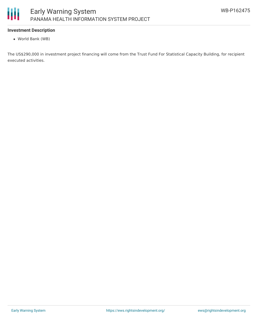

### **Investment Description**

World Bank (WB)

The US\$290,000 in investment project financing will come from the Trust Fund For Statistical Capacity Building, for recipient executed activities.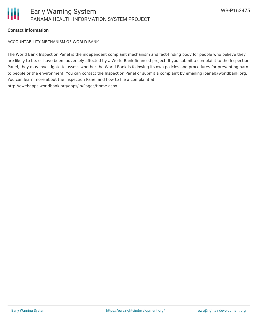

#### **Contact Information**

ACCOUNTABILITY MECHANISM OF WORLD BANK

The World Bank Inspection Panel is the independent complaint mechanism and fact-finding body for people who believe they are likely to be, or have been, adversely affected by a World Bank-financed project. If you submit a complaint to the Inspection Panel, they may investigate to assess whether the World Bank is following its own policies and procedures for preventing harm to people or the environment. You can contact the Inspection Panel or submit a complaint by emailing ipanel@worldbank.org. You can learn more about the Inspection Panel and how to file a complaint at: http://ewebapps.worldbank.org/apps/ip/Pages/Home.aspx.